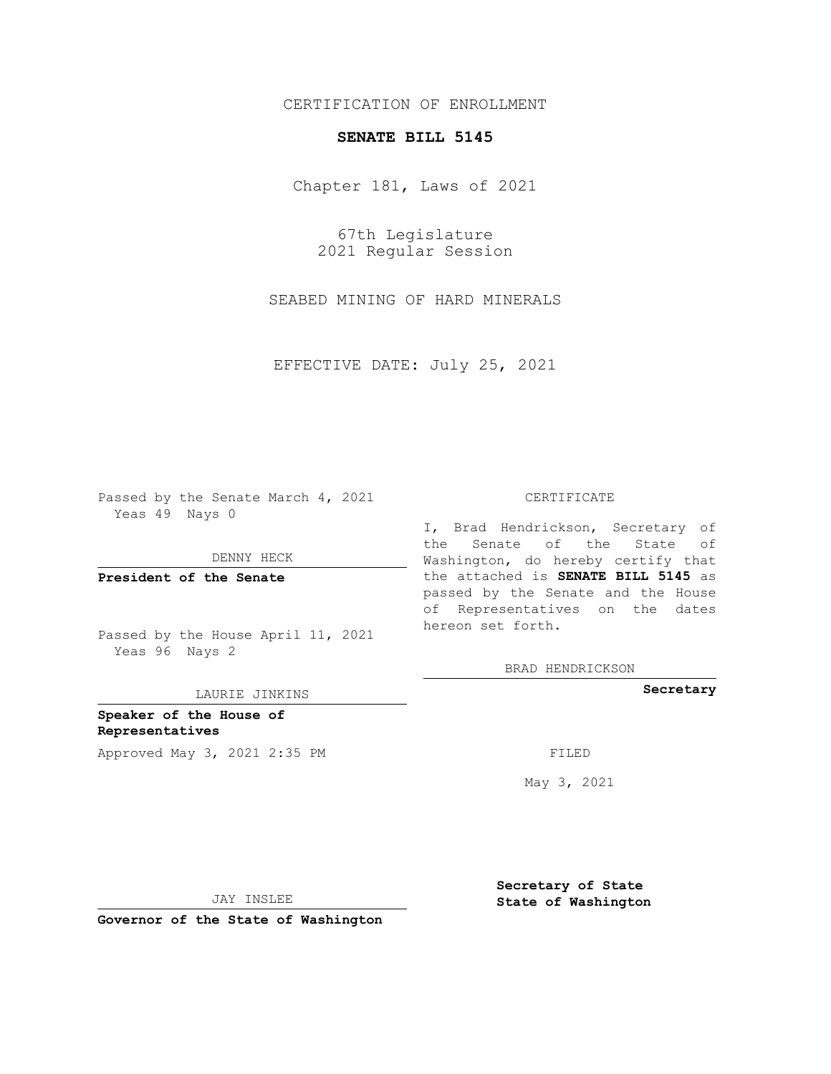## CERTIFICATION OF ENROLLMENT

## **SENATE BILL 5145**

Chapter 181, Laws of 2021

67th Legislature 2021 Regular Session

SEABED MINING OF HARD MINERALS

EFFECTIVE DATE: July 25, 2021

Passed by the Senate March 4, 2021 Yeas 49 Nays 0

DENNY HECK

**President of the Senate**

Passed by the House April 11, 2021 Yeas 96 Nays 2

LAURIE JINKINS

**Speaker of the House of Representatives** Approved May 3, 2021 2:35 PM FILED

## CERTIFICATE

I, Brad Hendrickson, Secretary of the Senate of the State of Washington, do hereby certify that the attached is **SENATE BILL 5145** as passed by the Senate and the House of Representatives on the dates hereon set forth.

BRAD HENDRICKSON

**Secretary**

May 3, 2021

JAY INSLEE

**Secretary of State State of Washington**

**Governor of the State of Washington**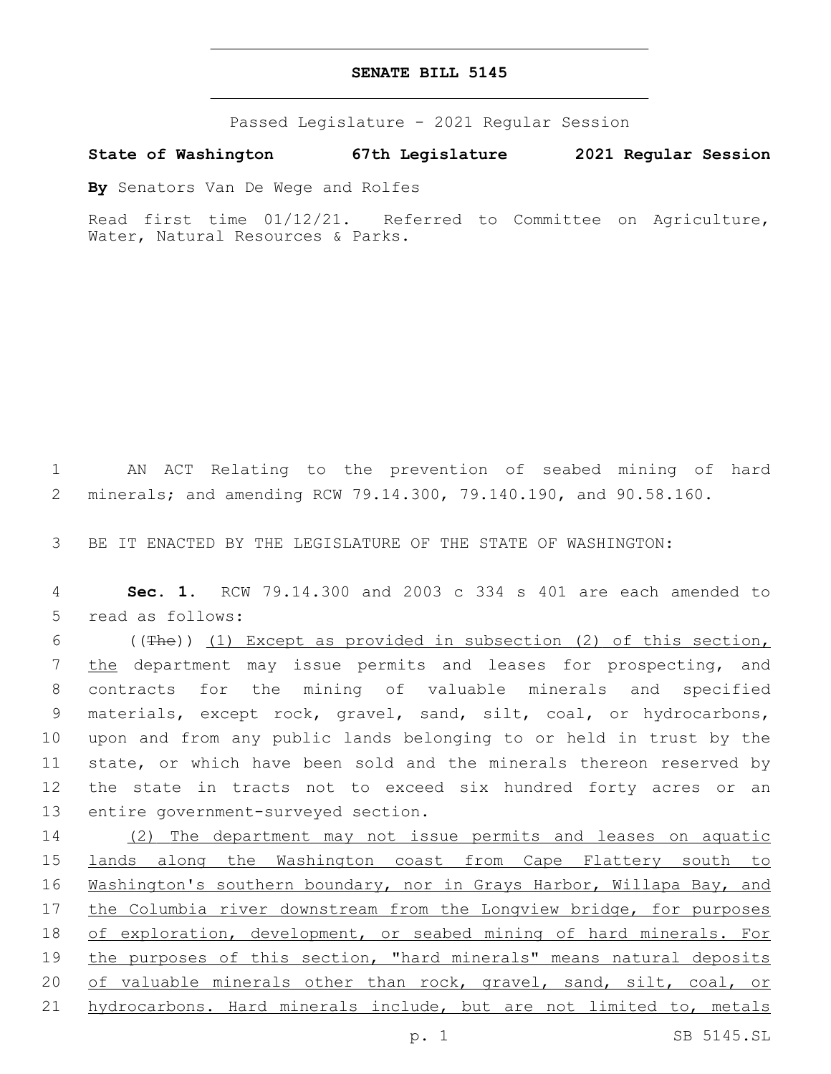## **SENATE BILL 5145**

Passed Legislature - 2021 Regular Session

**State of Washington 67th Legislature 2021 Regular Session**

**By** Senators Van De Wege and Rolfes

Read first time 01/12/21. Referred to Committee on Agriculture, Water, Natural Resources & Parks.

1 AN ACT Relating to the prevention of seabed mining of hard 2 minerals; and amending RCW 79.14.300, 79.140.190, and 90.58.160.

3 BE IT ENACTED BY THE LEGISLATURE OF THE STATE OF WASHINGTON:

4 **Sec. 1.** RCW 79.14.300 and 2003 c 334 s 401 are each amended to 5 read as follows:

 ((The)) (1) Except as provided in subsection (2) of this section, 7 the department may issue permits and leases for prospecting, and contracts for the mining of valuable minerals and specified materials, except rock, gravel, sand, silt, coal, or hydrocarbons, upon and from any public lands belonging to or held in trust by the state, or which have been sold and the minerals thereon reserved by the state in tracts not to exceed six hundred forty acres or an 13 entire government-surveyed section.

14 (2) The department may not issue permits and leases on aquatic 15 lands along the Washington coast from Cape Flattery south to 16 Washington's southern boundary, nor in Grays Harbor, Willapa Bay, and 17 the Columbia river downstream from the Longview bridge, for purposes 18 of exploration, development, or seabed mining of hard minerals. For 19 the purposes of this section, "hard minerals" means natural deposits 20 of valuable minerals other than rock, gravel, sand, silt, coal, or 21 hydrocarbons. Hard minerals include, but are not limited to, metals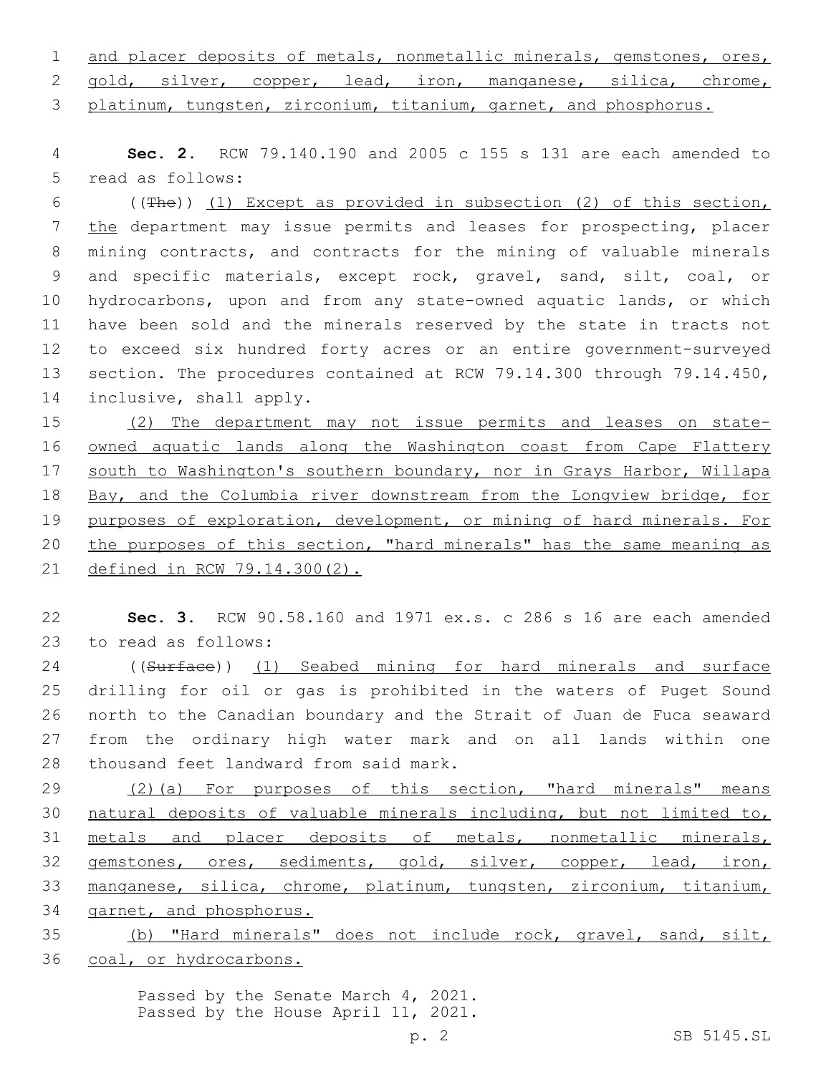|  | 1 and placer deposits of metals, nonmetallic minerals, gemstones, ores, |  |  |  |  |
|--|-------------------------------------------------------------------------|--|--|--|--|
|  | 2 gold, silver, copper, lead, iron, manganese, silica, chrome,          |  |  |  |  |
|  | 3 platinum, tungsten, zirconium, titanium, garnet, and phosphorus.      |  |  |  |  |

4 **Sec. 2.** RCW 79.140.190 and 2005 c 155 s 131 are each amended to 5 read as follows:

6 ( $(Hhe)$ ) (1) Except as provided in subsection (2) of this section, the department may issue permits and leases for prospecting, placer mining contracts, and contracts for the mining of valuable minerals and specific materials, except rock, gravel, sand, silt, coal, or hydrocarbons, upon and from any state-owned aquatic lands, or which have been sold and the minerals reserved by the state in tracts not to exceed six hundred forty acres or an entire government-surveyed 13 section. The procedures contained at RCW 79.14.300 through 79.14.450, 14 inclusive, shall apply.

 (2) The department may not issue permits and leases on state-16 owned aquatic lands along the Washington coast from Cape Flattery south to Washington's southern boundary, nor in Grays Harbor, Willapa Bay, and the Columbia river downstream from the Longview bridge, for purposes of exploration, development, or mining of hard minerals. For 20 the purposes of this section, "hard minerals" has the same meaning as defined in RCW 79.14.300(2).

22 **Sec. 3.** RCW 90.58.160 and 1971 ex.s. c 286 s 16 are each amended 23 to read as follows:

24 ((Surface)) (1) Seabed mining for hard minerals and surface 25 drilling for oil or gas is prohibited in the waters of Puget Sound 26 north to the Canadian boundary and the Strait of Juan de Fuca seaward 27 from the ordinary high water mark and on all lands within one 28 thousand feet landward from said mark.

29 (2)(a) For purposes of this section, "hard minerals" means 30 natural deposits of valuable minerals including, but not limited to, 31 metals and placer deposits of metals, nonmetallic minerals, 32 gemstones, ores, sediments, gold, silver, copper, lead, iron, 33 manganese, silica, chrome, platinum, tungsten, zirconium, titanium, 34 garnet, and phosphorus.

35 (b) "Hard minerals" does not include rock, gravel, sand, silt, 36 coal, or hydrocarbons.

> Passed by the Senate March 4, 2021. Passed by the House April 11, 2021.